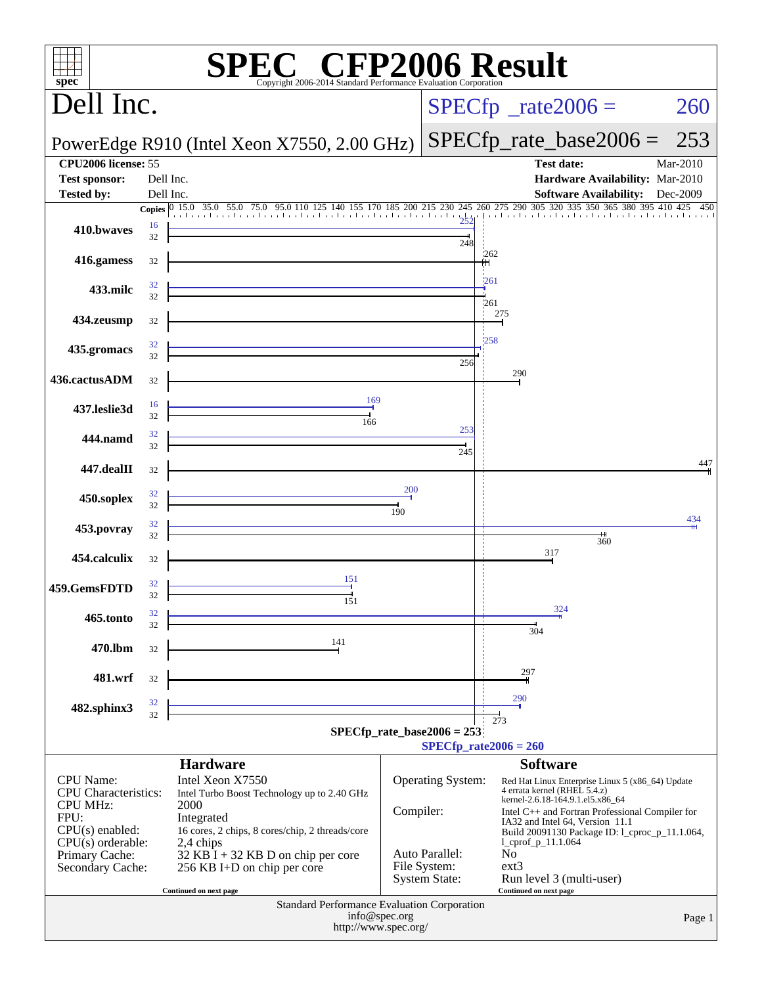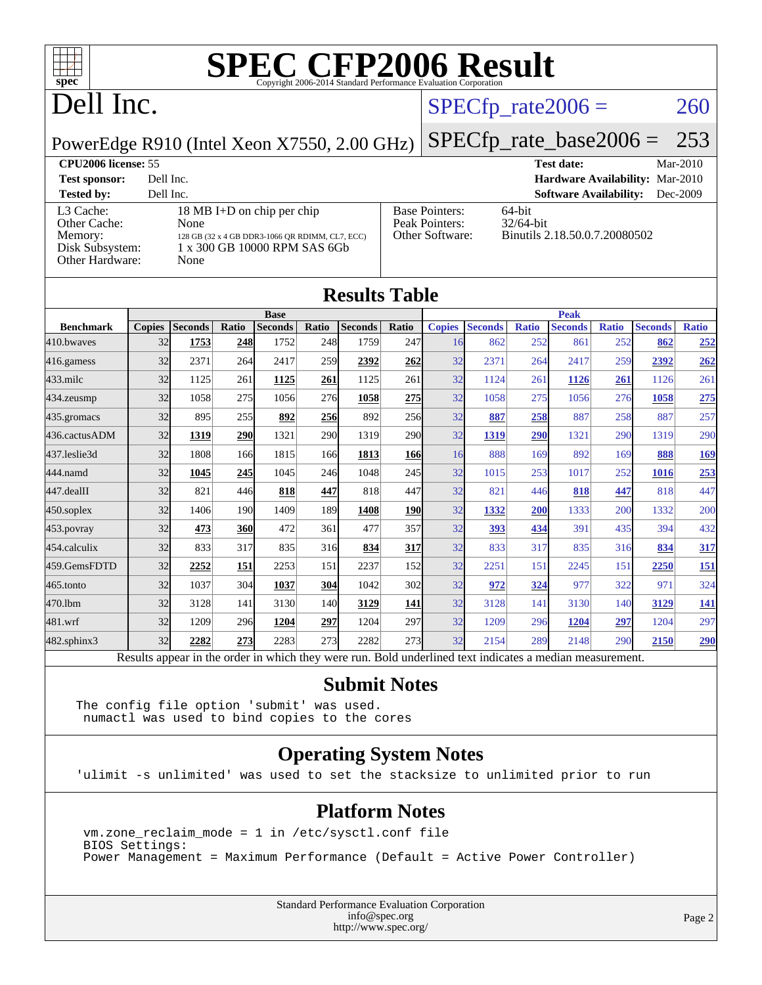

### Dell Inc.

#### $SPECTp_rate2006 = 260$

PowerEdge R910 (Intel Xeon X7550, 2.00 GHz)

[SPECfp\\_rate\\_base2006 =](http://www.spec.org/auto/cpu2006/Docs/result-fields.html#SPECfpratebase2006) 253

#### **[CPU2006 license:](http://www.spec.org/auto/cpu2006/Docs/result-fields.html#CPU2006license)** 55 **[Test date:](http://www.spec.org/auto/cpu2006/Docs/result-fields.html#Testdate)** Mar-2010 **[Test sponsor:](http://www.spec.org/auto/cpu2006/Docs/result-fields.html#Testsponsor)** Dell Inc. **[Hardware Availability:](http://www.spec.org/auto/cpu2006/Docs/result-fields.html#HardwareAvailability)** Mar-2010 **[Tested by:](http://www.spec.org/auto/cpu2006/Docs/result-fields.html#Testedby)** Dell Inc. **[Software Availability:](http://www.spec.org/auto/cpu2006/Docs/result-fields.html#SoftwareAvailability)** Dec-2009 [L3 Cache:](http://www.spec.org/auto/cpu2006/Docs/result-fields.html#L3Cache) 18 MB I+D on chip per chip<br>Other Cache: None [Other Cache:](http://www.spec.org/auto/cpu2006/Docs/result-fields.html#OtherCache) **[Memory:](http://www.spec.org/auto/cpu2006/Docs/result-fields.html#Memory)** 128 GB (32 x 4 GB DDR3-1066 QR RDIMM, CL7, ECC) [Disk Subsystem:](http://www.spec.org/auto/cpu2006/Docs/result-fields.html#DiskSubsystem) 1 x 300 GB 10000 RPM SAS 6Gb [Other Hardware:](http://www.spec.org/auto/cpu2006/Docs/result-fields.html#OtherHardware) None [Base Pointers:](http://www.spec.org/auto/cpu2006/Docs/result-fields.html#BasePointers) 64-bit<br>Peak Pointers: 32/64-bit [Peak Pointers:](http://www.spec.org/auto/cpu2006/Docs/result-fields.html#PeakPointers) [Other Software:](http://www.spec.org/auto/cpu2006/Docs/result-fields.html#OtherSoftware) Binutils 2.18.50.0.7.20080502

**[Results Table](http://www.spec.org/auto/cpu2006/Docs/result-fields.html#ResultsTable)**

| Results Table    |               |                                                                                                          |       |                |            |                |            |               |                |              |                |              |                |              |
|------------------|---------------|----------------------------------------------------------------------------------------------------------|-------|----------------|------------|----------------|------------|---------------|----------------|--------------|----------------|--------------|----------------|--------------|
|                  |               |                                                                                                          |       | <b>Base</b>    |            |                |            |               |                |              | <b>Peak</b>    |              |                |              |
| <b>Benchmark</b> | <b>Copies</b> | <b>Seconds</b>                                                                                           | Ratio | <b>Seconds</b> | Ratio      | <b>Seconds</b> | Ratio      | <b>Copies</b> | <b>Seconds</b> | <b>Ratio</b> | <b>Seconds</b> | <b>Ratio</b> | <b>Seconds</b> | <b>Ratio</b> |
| 410.bwayes       | 32            | 1753                                                                                                     | 248   | 1752           | 248        | 1759           | 247        | 16            | 862            | 252          | 861            | 252          | 862            | 252          |
| 416.gamess       | 32            | 2371                                                                                                     | 264   | 2417           | 259        | 2392           | 262        | 32            | 2371           | 264          | 2417           | 259          | 2392           | 262          |
| $433$ .milc      | 32            | 1125                                                                                                     | 261   | 1125           | 261        | 1125           | 261        | 32            | 1124           | 261          | 1126           | 261          | 1126           | 261          |
| 434.zeusmp       | 32            | 1058                                                                                                     | 275   | 1056           | 276        | 1058           | 275        | 32            | 1058           | 275          | 1056           | 276          | 1058           | 275          |
| 435.gromacs      | 32            | 895                                                                                                      | 255   | 892            | 256        | 892            | 256        | 32            | 887            | 258          | 887            | 258          | 887            | 257          |
| 436.cactusADM    | 32            | 1319                                                                                                     | 290   | 1321           | <b>290</b> | 1319           | 290        | 32            | 1319           | 290          | 1321           | 290          | 1319           | 290          |
| 437.leslie3d     | 32            | 1808                                                                                                     | 166   | 1815           | 166        | 1813           | 166        | 16            | 888            | 169          | 892            | 169          | 888            | 169          |
| 444.namd         | 32            | 1045                                                                                                     | 245   | 1045           | 246        | 1048           | 245        | 32            | 1015           | 253          | 1017           | 252          | 1016           | 253          |
| 447.dealII       | 32            | 821                                                                                                      | 446   | 818            | 447        | 818            | 447        | 32            | 821            | 446          | 818            | 447          | 818            | 447          |
| $450$ .soplex    | 32            | 1406                                                                                                     | 190   | 1409           | 189        | 1408           | <b>190</b> | 32            | 1332           | 200          | 1333           | 200          | 1332           | 200          |
| 453.povray       | 32            | 473                                                                                                      | 360   | 472            | 361        | 477            | 357        | 32            | 393            | 434          | 391            | 435          | 394            | 432          |
| 454.calculix     | 32            | 833                                                                                                      | 317   | 835            | 316        | 834            | 317        | 32            | 833            | 317          | 835            | 316          | 834            | 317          |
| 459.GemsFDTD     | 32            | 2252                                                                                                     | 151   | 2253           | 151        | 2237           | 152        | 32            | 2251           | 151          | 2245           | 151          | 2250           | <b>151</b>   |
| $465$ .tonto     | 32            | 1037                                                                                                     | 304   | 1037           | 304        | 1042           | 302        | 32            | 972            | 324          | 977            | 322          | 971            | 324          |
| 470.1bm          | 32            | 3128                                                                                                     | 141   | 3130           | 140        | 3129           | <b>141</b> | 32            | 3128           | 141          | 3130           | 140          | 3129           | <u>141</u>   |
| 481.wrf          | 32            | 1209                                                                                                     | 296   | 1204           | 297        | 1204           | 297        | 32            | 1209           | 296          | 1204           | 297          | 1204           | 297          |
| 482.sphinx3      | 32            | 2282                                                                                                     | 273   | 2283           | 273        | 2282           | 273        | 32            | 2154           | 289          | 2148           | 290          | 2150           | 290          |
|                  |               | Results appear in the order in which they were run. Bold underlined text indicates a median measurement. |       |                |            |                |            |               |                |              |                |              |                |              |

#### **[Submit Notes](http://www.spec.org/auto/cpu2006/Docs/result-fields.html#SubmitNotes)**

The config file option 'submit' was used. numactl was used to bind copies to the cores

#### **[Operating System Notes](http://www.spec.org/auto/cpu2006/Docs/result-fields.html#OperatingSystemNotes)**

'ulimit -s unlimited' was used to set the stacksize to unlimited prior to run

#### **[Platform Notes](http://www.spec.org/auto/cpu2006/Docs/result-fields.html#PlatformNotes)**

 vm.zone\_reclaim\_mode = 1 in /etc/sysctl.conf file BIOS Settings: Power Management = Maximum Performance (Default = Active Power Controller)

> Standard Performance Evaluation Corporation [info@spec.org](mailto:info@spec.org) <http://www.spec.org/>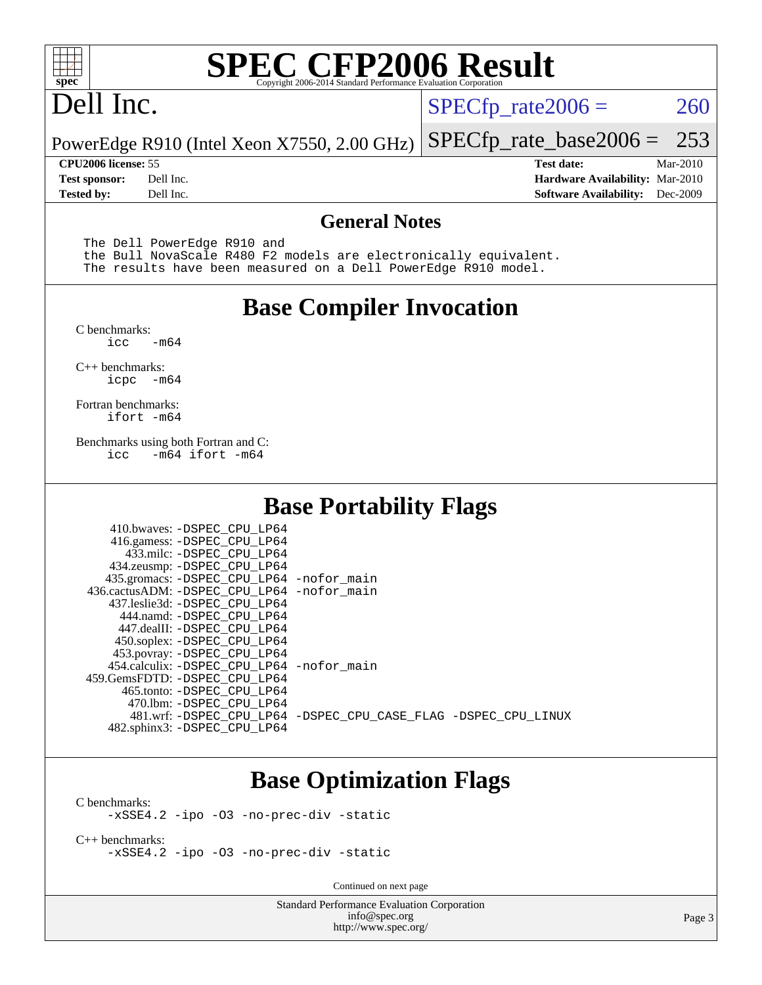

### Dell Inc.

 $SPECTp_rate2006 = 260$ 

PowerEdge R910 (Intel Xeon X7550, 2.00 GHz) [SPECfp\\_rate\\_base2006 =](http://www.spec.org/auto/cpu2006/Docs/result-fields.html#SPECfpratebase2006) 253

**[Tested by:](http://www.spec.org/auto/cpu2006/Docs/result-fields.html#Testedby)** Dell Inc. **[Software Availability:](http://www.spec.org/auto/cpu2006/Docs/result-fields.html#SoftwareAvailability)** Dec-2009

**[CPU2006 license:](http://www.spec.org/auto/cpu2006/Docs/result-fields.html#CPU2006license)** 55 **[Test date:](http://www.spec.org/auto/cpu2006/Docs/result-fields.html#Testdate)** Mar-2010 **[Test sponsor:](http://www.spec.org/auto/cpu2006/Docs/result-fields.html#Testsponsor)** Dell Inc. **[Hardware Availability:](http://www.spec.org/auto/cpu2006/Docs/result-fields.html#HardwareAvailability)** Mar-2010

#### **[General Notes](http://www.spec.org/auto/cpu2006/Docs/result-fields.html#GeneralNotes)**

The Dell PowerEdge R910 and

 the Bull NovaScale R480 F2 models are electronically equivalent. The results have been measured on a Dell PowerEdge R910 model.

#### **[Base Compiler Invocation](http://www.spec.org/auto/cpu2006/Docs/result-fields.html#BaseCompilerInvocation)**

[C benchmarks](http://www.spec.org/auto/cpu2006/Docs/result-fields.html#Cbenchmarks):  $-m64$ 

[C++ benchmarks:](http://www.spec.org/auto/cpu2006/Docs/result-fields.html#CXXbenchmarks) [icpc -m64](http://www.spec.org/cpu2006/results/res2010q3/cpu2006-20100621-11910.flags.html#user_CXXbase_intel_icpc_64bit_bedb90c1146cab66620883ef4f41a67e)

[Fortran benchmarks](http://www.spec.org/auto/cpu2006/Docs/result-fields.html#Fortranbenchmarks): [ifort -m64](http://www.spec.org/cpu2006/results/res2010q3/cpu2006-20100621-11910.flags.html#user_FCbase_intel_ifort_64bit_ee9d0fb25645d0210d97eb0527dcc06e)

[Benchmarks using both Fortran and C](http://www.spec.org/auto/cpu2006/Docs/result-fields.html#BenchmarksusingbothFortranandC): [icc -m64](http://www.spec.org/cpu2006/results/res2010q3/cpu2006-20100621-11910.flags.html#user_CC_FCbase_intel_icc_64bit_0b7121f5ab7cfabee23d88897260401c) [ifort -m64](http://www.spec.org/cpu2006/results/res2010q3/cpu2006-20100621-11910.flags.html#user_CC_FCbase_intel_ifort_64bit_ee9d0fb25645d0210d97eb0527dcc06e)

#### **[Base Portability Flags](http://www.spec.org/auto/cpu2006/Docs/result-fields.html#BasePortabilityFlags)**

| 410.bwaves: -DSPEC CPU LP64<br>416.gamess: - DSPEC_CPU_LP64 |                                                                |
|-------------------------------------------------------------|----------------------------------------------------------------|
| 433.milc: -DSPEC CPU LP64                                   |                                                                |
| 434.zeusmp: -DSPEC_CPU_LP64                                 |                                                                |
| 435.gromacs: -DSPEC CPU LP64 -nofor main                    |                                                                |
| 436.cactusADM: -DSPEC CPU LP64 -nofor main                  |                                                                |
| 437.leslie3d: -DSPEC CPU LP64                               |                                                                |
| 444.namd: -DSPEC CPU LP64                                   |                                                                |
| 447.dealII: -DSPEC CPU LP64                                 |                                                                |
| 450.soplex: -DSPEC_CPU_LP64                                 |                                                                |
| 453.povray: -DSPEC CPU LP64                                 |                                                                |
| 454.calculix: - DSPEC CPU LP64 - nofor main                 |                                                                |
| 459.GemsFDTD: - DSPEC_CPU_LP64                              |                                                                |
| 465.tonto: - DSPEC CPU LP64                                 |                                                                |
| 470.1bm: - DSPEC CPU LP64                                   |                                                                |
|                                                             | 481.wrf: -DSPEC CPU_LP64 -DSPEC_CPU_CASE_FLAG -DSPEC_CPU_LINUX |
| 482.sphinx3: -DSPEC_CPU_LP64                                |                                                                |

#### **[Base Optimization Flags](http://www.spec.org/auto/cpu2006/Docs/result-fields.html#BaseOptimizationFlags)**

[C benchmarks](http://www.spec.org/auto/cpu2006/Docs/result-fields.html#Cbenchmarks): [-xSSE4.2](http://www.spec.org/cpu2006/results/res2010q3/cpu2006-20100621-11910.flags.html#user_CCbase_f-xSSE42_f91528193cf0b216347adb8b939d4107) [-ipo](http://www.spec.org/cpu2006/results/res2010q3/cpu2006-20100621-11910.flags.html#user_CCbase_f-ipo) [-O3](http://www.spec.org/cpu2006/results/res2010q3/cpu2006-20100621-11910.flags.html#user_CCbase_f-O3) [-no-prec-div](http://www.spec.org/cpu2006/results/res2010q3/cpu2006-20100621-11910.flags.html#user_CCbase_f-no-prec-div) [-static](http://www.spec.org/cpu2006/results/res2010q3/cpu2006-20100621-11910.flags.html#user_CCbase_f-static)

[C++ benchmarks:](http://www.spec.org/auto/cpu2006/Docs/result-fields.html#CXXbenchmarks) [-xSSE4.2](http://www.spec.org/cpu2006/results/res2010q3/cpu2006-20100621-11910.flags.html#user_CXXbase_f-xSSE42_f91528193cf0b216347adb8b939d4107) [-ipo](http://www.spec.org/cpu2006/results/res2010q3/cpu2006-20100621-11910.flags.html#user_CXXbase_f-ipo) [-O3](http://www.spec.org/cpu2006/results/res2010q3/cpu2006-20100621-11910.flags.html#user_CXXbase_f-O3) [-no-prec-div](http://www.spec.org/cpu2006/results/res2010q3/cpu2006-20100621-11910.flags.html#user_CXXbase_f-no-prec-div) [-static](http://www.spec.org/cpu2006/results/res2010q3/cpu2006-20100621-11910.flags.html#user_CXXbase_f-static)

Continued on next page

Standard Performance Evaluation Corporation [info@spec.org](mailto:info@spec.org) <http://www.spec.org/>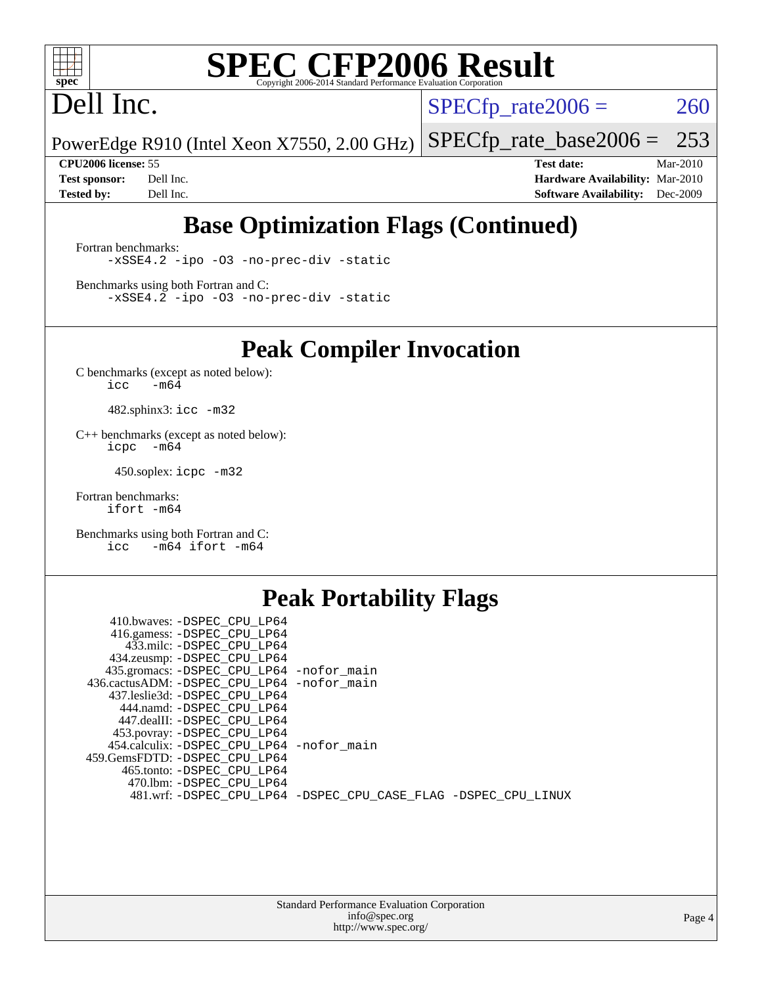

### Dell Inc.

 $SPECTp_rate2006 = 260$ 

PowerEdge R910 (Intel Xeon X7550, 2.00 GHz) [SPECfp\\_rate\\_base2006 =](http://www.spec.org/auto/cpu2006/Docs/result-fields.html#SPECfpratebase2006) 253

**[CPU2006 license:](http://www.spec.org/auto/cpu2006/Docs/result-fields.html#CPU2006license)** 55 **[Test date:](http://www.spec.org/auto/cpu2006/Docs/result-fields.html#Testdate)** Mar-2010 **[Test sponsor:](http://www.spec.org/auto/cpu2006/Docs/result-fields.html#Testsponsor)** Dell Inc. **[Hardware Availability:](http://www.spec.org/auto/cpu2006/Docs/result-fields.html#HardwareAvailability)** Mar-2010 **[Tested by:](http://www.spec.org/auto/cpu2006/Docs/result-fields.html#Testedby)** Dell Inc. **[Software Availability:](http://www.spec.org/auto/cpu2006/Docs/result-fields.html#SoftwareAvailability)** Dec-2009

#### **[Base Optimization Flags \(Continued\)](http://www.spec.org/auto/cpu2006/Docs/result-fields.html#BaseOptimizationFlags)**

[Fortran benchmarks](http://www.spec.org/auto/cpu2006/Docs/result-fields.html#Fortranbenchmarks): [-xSSE4.2](http://www.spec.org/cpu2006/results/res2010q3/cpu2006-20100621-11910.flags.html#user_FCbase_f-xSSE42_f91528193cf0b216347adb8b939d4107) [-ipo](http://www.spec.org/cpu2006/results/res2010q3/cpu2006-20100621-11910.flags.html#user_FCbase_f-ipo) [-O3](http://www.spec.org/cpu2006/results/res2010q3/cpu2006-20100621-11910.flags.html#user_FCbase_f-O3) [-no-prec-div](http://www.spec.org/cpu2006/results/res2010q3/cpu2006-20100621-11910.flags.html#user_FCbase_f-no-prec-div) [-static](http://www.spec.org/cpu2006/results/res2010q3/cpu2006-20100621-11910.flags.html#user_FCbase_f-static)

[Benchmarks using both Fortran and C](http://www.spec.org/auto/cpu2006/Docs/result-fields.html#BenchmarksusingbothFortranandC): [-xSSE4.2](http://www.spec.org/cpu2006/results/res2010q3/cpu2006-20100621-11910.flags.html#user_CC_FCbase_f-xSSE42_f91528193cf0b216347adb8b939d4107) [-ipo](http://www.spec.org/cpu2006/results/res2010q3/cpu2006-20100621-11910.flags.html#user_CC_FCbase_f-ipo) [-O3](http://www.spec.org/cpu2006/results/res2010q3/cpu2006-20100621-11910.flags.html#user_CC_FCbase_f-O3) [-no-prec-div](http://www.spec.org/cpu2006/results/res2010q3/cpu2006-20100621-11910.flags.html#user_CC_FCbase_f-no-prec-div) [-static](http://www.spec.org/cpu2006/results/res2010q3/cpu2006-20100621-11910.flags.html#user_CC_FCbase_f-static)

**[Peak Compiler Invocation](http://www.spec.org/auto/cpu2006/Docs/result-fields.html#PeakCompilerInvocation)**

[C benchmarks \(except as noted below\)](http://www.spec.org/auto/cpu2006/Docs/result-fields.html#Cbenchmarksexceptasnotedbelow):  $\text{icc}$  -m64

482.sphinx3: [icc -m32](http://www.spec.org/cpu2006/results/res2010q3/cpu2006-20100621-11910.flags.html#user_peakCCLD482_sphinx3_intel_icc_32bit_a6a621f8d50482236b970c6ac5f55f93)

[C++ benchmarks \(except as noted below\):](http://www.spec.org/auto/cpu2006/Docs/result-fields.html#CXXbenchmarksexceptasnotedbelow) [icpc -m64](http://www.spec.org/cpu2006/results/res2010q3/cpu2006-20100621-11910.flags.html#user_CXXpeak_intel_icpc_64bit_bedb90c1146cab66620883ef4f41a67e)

450.soplex: [icpc -m32](http://www.spec.org/cpu2006/results/res2010q3/cpu2006-20100621-11910.flags.html#user_peakCXXLD450_soplex_intel_icpc_32bit_4e5a5ef1a53fd332b3c49e69c3330699)

[Fortran benchmarks](http://www.spec.org/auto/cpu2006/Docs/result-fields.html#Fortranbenchmarks): [ifort -m64](http://www.spec.org/cpu2006/results/res2010q3/cpu2006-20100621-11910.flags.html#user_FCpeak_intel_ifort_64bit_ee9d0fb25645d0210d97eb0527dcc06e)

[Benchmarks using both Fortran and C](http://www.spec.org/auto/cpu2006/Docs/result-fields.html#BenchmarksusingbothFortranandC): [icc -m64](http://www.spec.org/cpu2006/results/res2010q3/cpu2006-20100621-11910.flags.html#user_CC_FCpeak_intel_icc_64bit_0b7121f5ab7cfabee23d88897260401c) [ifort -m64](http://www.spec.org/cpu2006/results/res2010q3/cpu2006-20100621-11910.flags.html#user_CC_FCpeak_intel_ifort_64bit_ee9d0fb25645d0210d97eb0527dcc06e)

#### **[Peak Portability Flags](http://www.spec.org/auto/cpu2006/Docs/result-fields.html#PeakPortabilityFlags)**

| 410.bwaves: -DSPEC CPU LP64                                    |  |
|----------------------------------------------------------------|--|
| 416.gamess: -DSPEC_CPU_LP64                                    |  |
| 433.milc: -DSPEC CPU LP64                                      |  |
| 434.zeusmp: -DSPEC_CPU_LP64                                    |  |
| 435.gromacs: -DSPEC_CPU_LP64 -nofor_main                       |  |
| 436.cactusADM: -DSPEC CPU LP64 -nofor main                     |  |
| 437.leslie3d: -DSPEC CPU LP64                                  |  |
| 444.namd: -DSPEC_CPU_LP64                                      |  |
| 447.dealII: -DSPEC CPU LP64                                    |  |
| 453.povray: -DSPEC_CPU_LP64                                    |  |
| 454.calculix: -DSPEC_CPU_LP64 -nofor_main                      |  |
| 459.GemsFDTD: -DSPEC CPU LP64                                  |  |
| 465.tonto: - DSPEC CPU LP64                                    |  |
| 470.1bm: - DSPEC CPU LP64                                      |  |
| 481.wrf: -DSPEC_CPU_LP64 -DSPEC_CPU_CASE_FLAG -DSPEC_CPU_LINUX |  |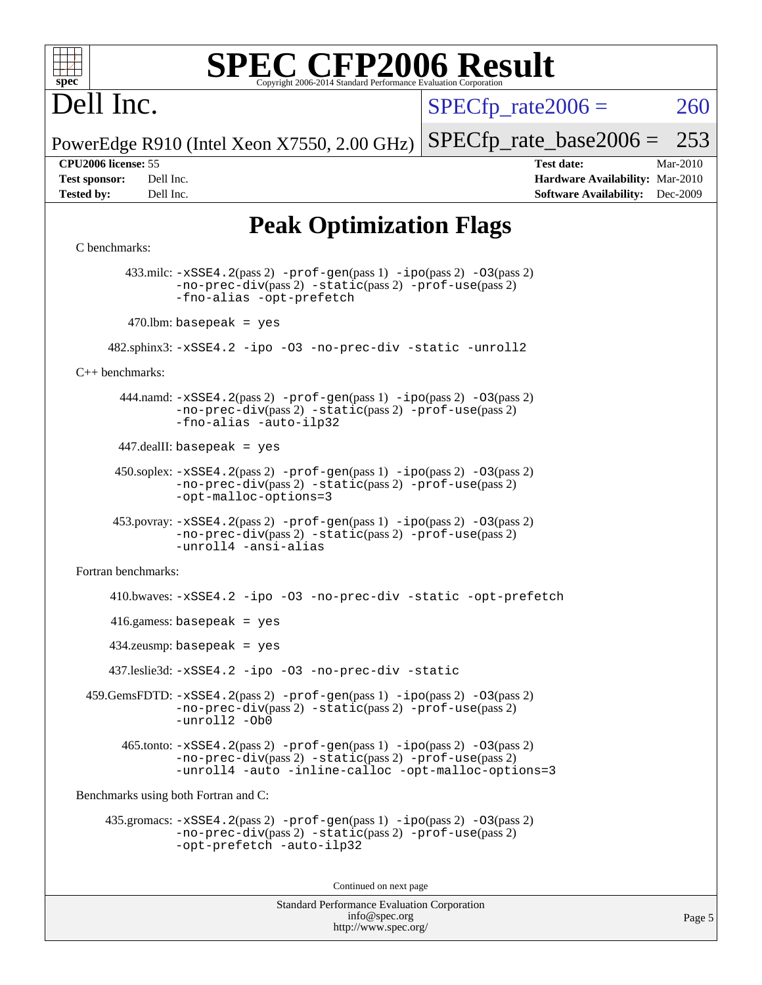

### Dell Inc.

 $SPECTp\_rate2006 = 260$ 

PowerEdge R910 (Intel Xeon X7550, 2.00 GHz) [SPECfp\\_rate\\_base2006 =](http://www.spec.org/auto/cpu2006/Docs/result-fields.html#SPECfpratebase2006) 253

**[CPU2006 license:](http://www.spec.org/auto/cpu2006/Docs/result-fields.html#CPU2006license)** 55 **[Test date:](http://www.spec.org/auto/cpu2006/Docs/result-fields.html#Testdate)** Mar-2010 **[Test sponsor:](http://www.spec.org/auto/cpu2006/Docs/result-fields.html#Testsponsor)** Dell Inc. **[Hardware Availability:](http://www.spec.org/auto/cpu2006/Docs/result-fields.html#HardwareAvailability)** Mar-2010 **[Tested by:](http://www.spec.org/auto/cpu2006/Docs/result-fields.html#Testedby)** Dell Inc. **[Software Availability:](http://www.spec.org/auto/cpu2006/Docs/result-fields.html#SoftwareAvailability)** Dec-2009

#### **[Peak Optimization Flags](http://www.spec.org/auto/cpu2006/Docs/result-fields.html#PeakOptimizationFlags)**

#### [C benchmarks](http://www.spec.org/auto/cpu2006/Docs/result-fields.html#Cbenchmarks):

```
Standard Performance Evaluation Corporation
        433.milc: -xSSE4.2(pass 2) -prof-gen(pass 1) -ipo(pass 2) -O3(pass 2)
               -no-prec-div(pass 2) -static(pass 2) -prof-use(pass 2)
               -fno-alias -opt-prefetch
        470.lbm: basepeak = yes
      482.sphinx3: -xSSE4.2 -ipo -O3 -no-prec-div -static -unroll2
C++ benchmarks: 
      444.namd: -xSSE4. 2(pass 2) -prof-gen-ipo-O3(pass 2)-no-prec-div(pass 2) -static(pass 2) -prof-use(pass 2)
               -fno-alias -auto-ilp32
      447.dealII: basepeak = yes
       450.soplex: -xSSE4.2(pass 2) -prof-gen(pass 1) -ipo(pass 2) -O3(pass 2)
               -no-prec-div(pass 2) -static(pass 2) -prof-use(pass 2)
               -opt-malloc-options=3
      453.povray: -xSSE4.2(pass 2) -prof-gen(pass 1) -ipo(pass 2) -O3(pass 2)
               -no-prec-div(pass 2) -static(pass 2) -prof-use(pass 2)
               -unroll4 -ansi-alias
Fortran benchmarks: 
      410.bwaves: -xSSE4.2 -ipo -O3 -no-prec-div -static -opt-prefetch
      416.gamess: basepeak = yes
      434.zeusmp: basepeak = yes
      437.leslie3d: -xSSE4.2 -ipo -O3 -no-prec-div -static
 -xSSE4.2-prof-gen-ipo-O3(pass 2)-no-prec-div(pass 2) -static(pass 2) -prof-use(pass 2)
               -unroll2 -Ob0
        465.tonto: -xSSE4.2(pass 2) -prof-gen(pass 1) -ipo(pass 2) -O3(pass 2)
               -no-prec-div(pass 2) -static(pass 2) -prof-use(pass 2)
               -unroll4 -auto -inline-calloc -opt-malloc-options=3
Benchmarks using both Fortran and C: 
     435.gromacs: -xSSE4.2(pass 2) -prof-gen(pass 1) -ipo(pass 2) -O3(pass 2)
               -no-prec-div(pass 2) -static(pass 2) -prof-use(pass 2)
               -opt-prefetch -auto-ilp32
                                       Continued on next page
```
[info@spec.org](mailto:info@spec.org) <http://www.spec.org/>